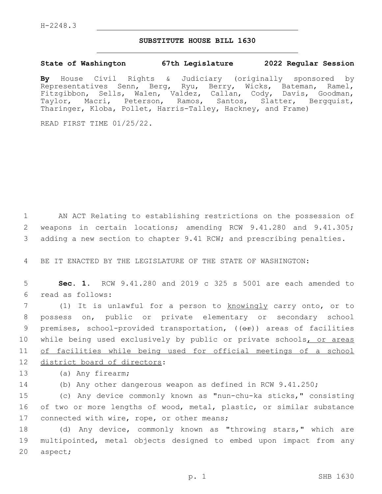## **SUBSTITUTE HOUSE BILL 1630**

## **State of Washington 67th Legislature 2022 Regular Session**

**By** House Civil Rights & Judiciary (originally sponsored by Representatives Senn, Berg, Ryu, Berry, Wicks, Bateman, Ramel, Fitzgibbon, Sells, Walen, Valdez, Callan, Cody, Davis, Goodman, Taylor, Macri, Peterson, Ramos, Santos, Slatter, Bergquist, Tharinger, Kloba, Pollet, Harris-Talley, Hackney, and Frame)

READ FIRST TIME 01/25/22.

1 AN ACT Relating to establishing restrictions on the possession of 2 weapons in certain locations; amending RCW 9.41.280 and 9.41.305; 3 adding a new section to chapter 9.41 RCW; and prescribing penalties.

4 BE IT ENACTED BY THE LEGISLATURE OF THE STATE OF WASHINGTON:

5 **Sec. 1.** RCW 9.41.280 and 2019 c 325 s 5001 are each amended to read as follows:6

7 (1) It is unlawful for a person to knowingly carry onto, or to 8 possess on, public or private elementary or secondary school 9 premises, school-provided transportation, (( $\Theta$ ) areas of facilities 10 while being used exclusively by public or private schools, or areas 11 of facilities while being used for official meetings of a school 12 district board of directors:

13 (a) Any firearm;

14 (b) Any other dangerous weapon as defined in RCW 9.41.250;

15 (c) Any device commonly known as "nun-chu-ka sticks," consisting 16 of two or more lengths of wood, metal, plastic, or similar substance 17 connected with wire, rope, or other means;

18 (d) Any device, commonly known as "throwing stars," which are 19 multipointed, metal objects designed to embed upon impact from any 20 aspect;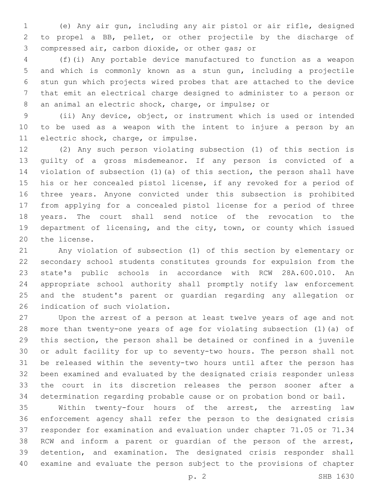(e) Any air gun, including any air pistol or air rifle, designed to propel a BB, pellet, or other projectile by the discharge of 3 compressed air, carbon dioxide, or other gas; or

 (f)(i) Any portable device manufactured to function as a weapon and which is commonly known as a stun gun, including a projectile stun gun which projects wired probes that are attached to the device that emit an electrical charge designed to administer to a person or an animal an electric shock, charge, or impulse; or

 (ii) Any device, object, or instrument which is used or intended to be used as a weapon with the intent to injure a person by an 11 electric shock, charge, or impulse.

 (2) Any such person violating subsection (1) of this section is guilty of a gross misdemeanor. If any person is convicted of a violation of subsection (1)(a) of this section, the person shall have his or her concealed pistol license, if any revoked for a period of three years. Anyone convicted under this subsection is prohibited from applying for a concealed pistol license for a period of three years. The court shall send notice of the revocation to the department of licensing, and the city, town, or county which issued 20 the license.

 Any violation of subsection (1) of this section by elementary or secondary school students constitutes grounds for expulsion from the state's public schools in accordance with RCW 28A.600.010. An appropriate school authority shall promptly notify law enforcement and the student's parent or guardian regarding any allegation or 26 indication of such violation.

 Upon the arrest of a person at least twelve years of age and not more than twenty-one years of age for violating subsection (1)(a) of this section, the person shall be detained or confined in a juvenile or adult facility for up to seventy-two hours. The person shall not be released within the seventy-two hours until after the person has been examined and evaluated by the designated crisis responder unless the court in its discretion releases the person sooner after a determination regarding probable cause or on probation bond or bail.

 Within twenty-four hours of the arrest, the arresting law enforcement agency shall refer the person to the designated crisis responder for examination and evaluation under chapter 71.05 or 71.34 RCW and inform a parent or guardian of the person of the arrest, detention, and examination. The designated crisis responder shall examine and evaluate the person subject to the provisions of chapter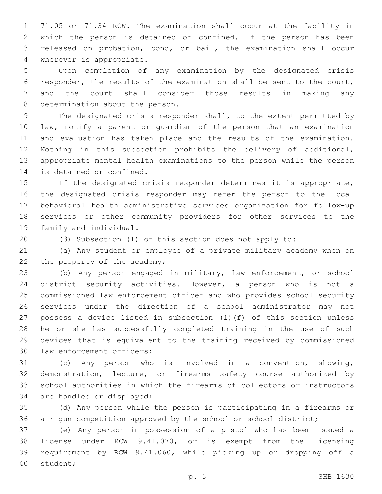71.05 or 71.34 RCW. The examination shall occur at the facility in which the person is detained or confined. If the person has been released on probation, bond, or bail, the examination shall occur 4 wherever is appropriate.

 Upon completion of any examination by the designated crisis responder, the results of the examination shall be sent to the court, and the court shall consider those results in making any 8 determination about the person.

 The designated crisis responder shall, to the extent permitted by law, notify a parent or guardian of the person that an examination and evaluation has taken place and the results of the examination. Nothing in this subsection prohibits the delivery of additional, appropriate mental health examinations to the person while the person 14 is detained or confined.

 If the designated crisis responder determines it is appropriate, the designated crisis responder may refer the person to the local behavioral health administrative services organization for follow-up services or other community providers for other services to the 19 family and individual.

(3) Subsection (1) of this section does not apply to:

 (a) Any student or employee of a private military academy when on 22 the property of the academy;

 (b) Any person engaged in military, law enforcement, or school district security activities. However, a person who is not a commissioned law enforcement officer and who provides school security services under the direction of a school administrator may not possess a device listed in subsection (1)(f) of this section unless he or she has successfully completed training in the use of such devices that is equivalent to the training received by commissioned 30 law enforcement officers;

 (c) Any person who is involved in a convention, showing, demonstration, lecture, or firearms safety course authorized by school authorities in which the firearms of collectors or instructors 34 are handled or displayed;

 (d) Any person while the person is participating in a firearms or air gun competition approved by the school or school district;

 (e) Any person in possession of a pistol who has been issued a license under RCW 9.41.070, or is exempt from the licensing requirement by RCW 9.41.060, while picking up or dropping off a 40 student;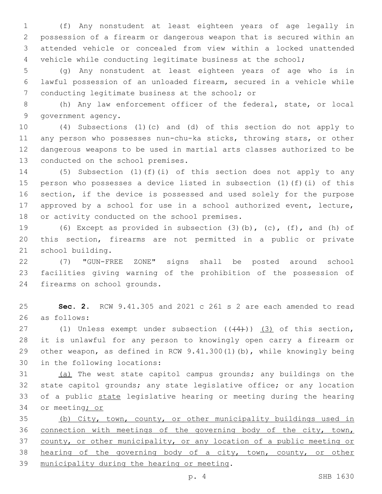(f) Any nonstudent at least eighteen years of age legally in possession of a firearm or dangerous weapon that is secured within an attended vehicle or concealed from view within a locked unattended vehicle while conducting legitimate business at the school;

 (g) Any nonstudent at least eighteen years of age who is in lawful possession of an unloaded firearm, secured in a vehicle while 7 conducting legitimate business at the school; or

 (h) Any law enforcement officer of the federal, state, or local 9 government agency.

 (4) Subsections (1)(c) and (d) of this section do not apply to any person who possesses nun-chu-ka sticks, throwing stars, or other dangerous weapons to be used in martial arts classes authorized to be 13 conducted on the school premises.

 (5) Subsection (1)(f)(i) of this section does not apply to any person who possesses a device listed in subsection (1)(f)(i) of this section, if the device is possessed and used solely for the purpose approved by a school for use in a school authorized event, lecture, 18 or activity conducted on the school premises.

 (6) Except as provided in subsection (3)(b), (c), (f), and (h) of this section, firearms are not permitted in a public or private 21 school building.

 (7) "GUN-FREE ZONE" signs shall be posted around school facilities giving warning of the prohibition of the possession of 24 firearms on school grounds.

 **Sec. 2.** RCW 9.41.305 and 2021 c 261 s 2 are each amended to read 26 as follows:

27 (1) Unless exempt under subsection  $((+4))$   $(3)$  of this section, it is unlawful for any person to knowingly open carry a firearm or other weapon, as defined in RCW 9.41.300(1)(b), while knowingly being 30 in the following locations:

 (a) The west state capitol campus grounds; any buildings on the state capitol grounds; any state legislative office; or any location of a public state legislative hearing or meeting during the hearing 34 or meeting<sub>i or</sub>

 (b) City, town, county, or other municipality buildings used in connection with meetings of the governing body of the city, town, county, or other municipality, or any location of a public meeting or hearing of the governing body of a city, town, county, or other 39 municipality during the hearing or meeting.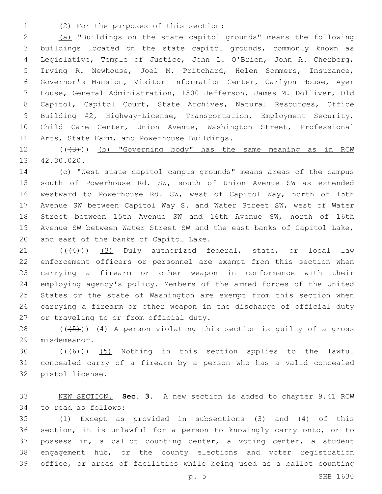## (2) For the purposes of this section:

 (a) "Buildings on the state capitol grounds" means the following buildings located on the state capitol grounds, commonly known as Legislative, Temple of Justice, John L. O'Brien, John A. Cherberg, Irving R. Newhouse, Joel M. Pritchard, Helen Sommers, Insurance, Governor's Mansion, Visitor Information Center, Carlyon House, Ayer House, General Administration, 1500 Jefferson, James M. Dolliver, Old Capitol, Capitol Court, State Archives, Natural Resources, Office Building #2, Highway-License, Transportation, Employment Security, Child Care Center, Union Avenue, Washington Street, Professional 11 Arts, State Farm, and Powerhouse Buildings.

12 (((3))) (b) "Governing body" has the same meaning as in RCW 42.30.020.

 (c) "West state capitol campus grounds" means areas of the campus south of Powerhouse Rd. SW, south of Union Avenue SW as extended westward to Powerhouse Rd. SW, west of Capitol Way, north of 15th Avenue SW between Capitol Way S. and Water Street SW, west of Water Street between 15th Avenue SW and 16th Avenue SW, north of 16th Avenue SW between Water Street SW and the east banks of Capitol Lake, 20 and east of the banks of Capitol Lake.

21 (((4))) (3) Duly authorized federal, state, or local law enforcement officers or personnel are exempt from this section when carrying a firearm or other weapon in conformance with their employing agency's policy. Members of the armed forces of the United States or the state of Washington are exempt from this section when carrying a firearm or other weapon in the discharge of official duty 27 or traveling to or from official duty.

28  $((+5+))$   $(4)$  A person violating this section is guilty of a gross 29 misdemeanor.

30  $((+6+))$   $(5)$  Nothing in this section applies to the lawful concealed carry of a firearm by a person who has a valid concealed 32 pistol license.

 NEW SECTION. **Sec. 3.** A new section is added to chapter 9.41 RCW 34 to read as follows:

 (1) Except as provided in subsections (3) and (4) of this section, it is unlawful for a person to knowingly carry onto, or to possess in, a ballot counting center, a voting center, a student engagement hub, or the county elections and voter registration office, or areas of facilities while being used as a ballot counting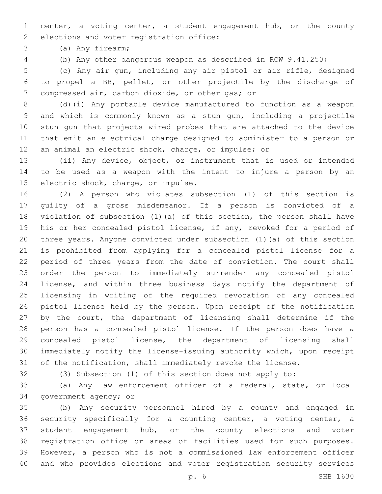center, a voting center, a student engagement hub, or the county 2 elections and voter registration office:

(a) Any firearm;3

(b) Any other dangerous weapon as described in RCW 9.41.250;

 (c) Any air gun, including any air pistol or air rifle, designed to propel a BB, pellet, or other projectile by the discharge of 7 compressed air, carbon dioxide, or other gas; or

 (d)(i) Any portable device manufactured to function as a weapon and which is commonly known as a stun gun, including a projectile stun gun that projects wired probes that are attached to the device that emit an electrical charge designed to administer to a person or an animal an electric shock, charge, or impulse; or

 (ii) Any device, object, or instrument that is used or intended to be used as a weapon with the intent to injure a person by an 15 electric shock, charge, or impulse.

 (2) A person who violates subsection (1) of this section is guilty of a gross misdemeanor. If a person is convicted of a violation of subsection (1)(a) of this section, the person shall have his or her concealed pistol license, if any, revoked for a period of three years. Anyone convicted under subsection (1)(a) of this section is prohibited from applying for a concealed pistol license for a period of three years from the date of conviction. The court shall order the person to immediately surrender any concealed pistol license, and within three business days notify the department of licensing in writing of the required revocation of any concealed pistol license held by the person. Upon receipt of the notification by the court, the department of licensing shall determine if the person has a concealed pistol license. If the person does have a concealed pistol license, the department of licensing shall immediately notify the license-issuing authority which, upon receipt of the notification, shall immediately revoke the license.

(3) Subsection (1) of this section does not apply to:

 (a) Any law enforcement officer of a federal, state, or local 34 government agency; or

 (b) Any security personnel hired by a county and engaged in security specifically for a counting center, a voting center, a student engagement hub, or the county elections and voter registration office or areas of facilities used for such purposes. However, a person who is not a commissioned law enforcement officer and who provides elections and voter registration security services